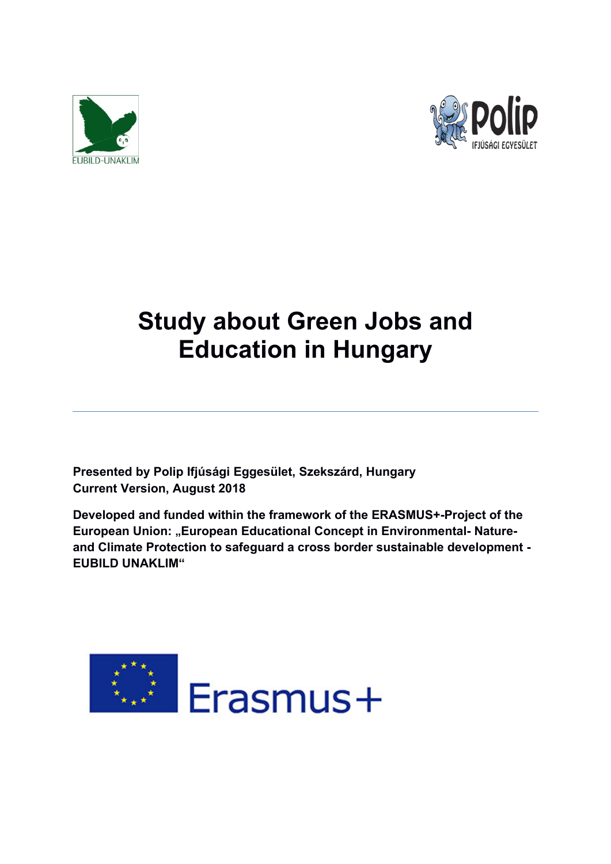



# **Study about Green Jobs and Education in Hungary**

**Presented by Polip Ifjúsági Eggesület, Szekszárd, Hungary Current Version, August 2018**

**Developed and funded within the framework of the ERASMUS+-Project of the European Union: "European Educational Concept in Environmental-Natureand Climate Protection to safeguard a cross border sustainable development - EUBILD UNAKLIM"**

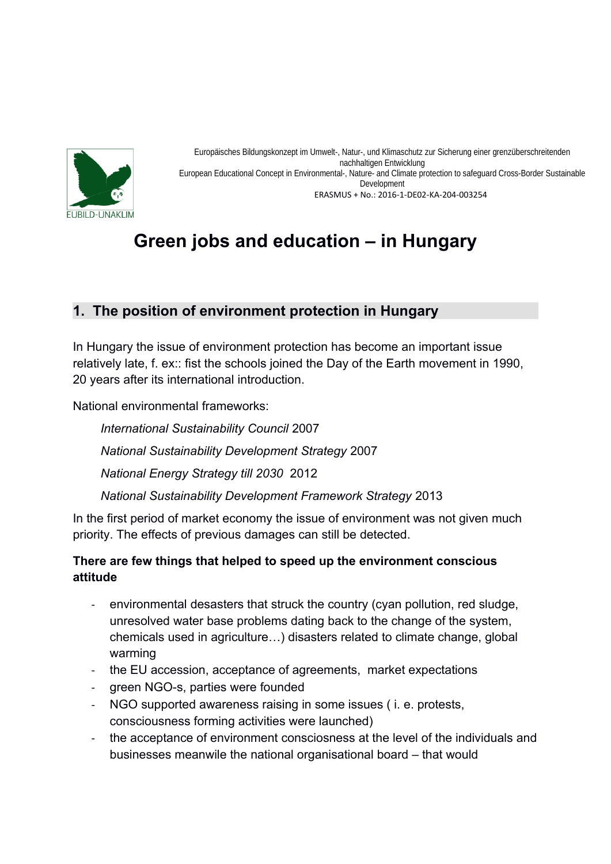

Europäisches Bildungskonzept im Umwelt-, Natur-, und Klimaschutz zur Sicherung einer grenzüberschreitenden nachhaltigen Entwicklung European Educational Concept in Environmental-, Nature- and Climate protection to safeguard Cross-Border Sustainable Development ERASMUS + No.: 2016-1-DE02-KA-204-003254

# **Green jobs and education – in Hungary**

## **1. The position of environment protection in Hungary**

In Hungary the issue of environment protection has become an important issue relatively late, f. ex:: fist the schools joined the Day of the Earth movement in 1990, 20 years after its international introduction.

National environmental frameworks:

*International Sustainability Council* 2007 *National Sustainability Development Strategy* 2007 *National Energy Strategy till 2030* 2012 *National Sustainability Development Framework Strategy* 2013

In the first period of market economy the issue of environment was not given much priority. The effects of previous damages can still be detected.

### **There are few things that helped to speed up the environment conscious attitude**

- environmental desasters that struck the country (cyan pollution, red sludge, unresolved water base problems dating back to the change of the system, chemicals used in agriculture…) disasters related to climate change, global warming
- the EU accession, acceptance of agreements, market expectations
- green NGO-s, parties were founded
- NGO supported awareness raising in some issues ( i. e. protests, consciousness forming activities were launched)
- the acceptance of environment consciosness at the level of the individuals and businesses meanwile the national organisational board – that would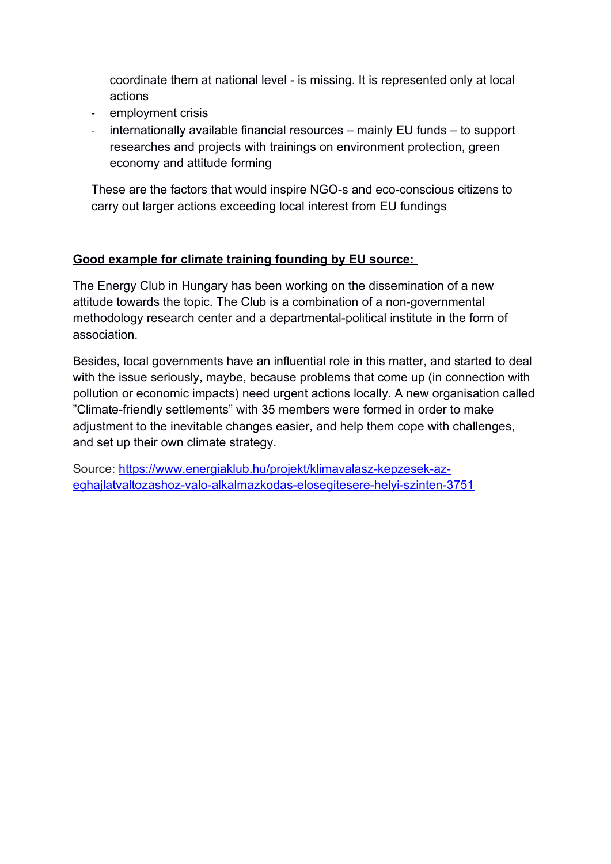coordinate them at national level - is missing. It is represented only at local actions

- employment crisis
- internationally available financial resources mainly EU funds to support researches and projects with trainings on environment protection, green economy and attitude forming

These are the factors that would inspire NGO-s and eco-conscious citizens to carry out larger actions exceeding local interest from EU fundings

#### **Good example for climate training founding by EU source:**

The Energy Club in Hungary has been working on the dissemination of a new attitude towards the topic. The Club is a combination of a non-governmental methodology research center and a departmental-political institute in the form of association.

Besides, local governments have an influential role in this matter, and started to deal with the issue seriously, maybe, because problems that come up (in connection with pollution or economic impacts) need urgent actions locally. A new organisation called "Climate-friendly settlements" with 35 members were formed in order to make adjustment to the inevitable changes easier, and help them cope with challenges, and set up their own climate strategy.

Source: [https://www.energiaklub.hu/projekt/klimavalasz-kepzesek-az](https://www.energiaklub.hu/projekt/klimavalasz-kepzesek-az-eghajlatvaltozashoz-valo-alkalmazkodas-elosegitesere-helyi-szinten-3751)[eghajlatvaltozashoz-valo-alkalmazkodas-elosegitesere-helyi-szinten-3751](https://www.energiaklub.hu/projekt/klimavalasz-kepzesek-az-eghajlatvaltozashoz-valo-alkalmazkodas-elosegitesere-helyi-szinten-3751)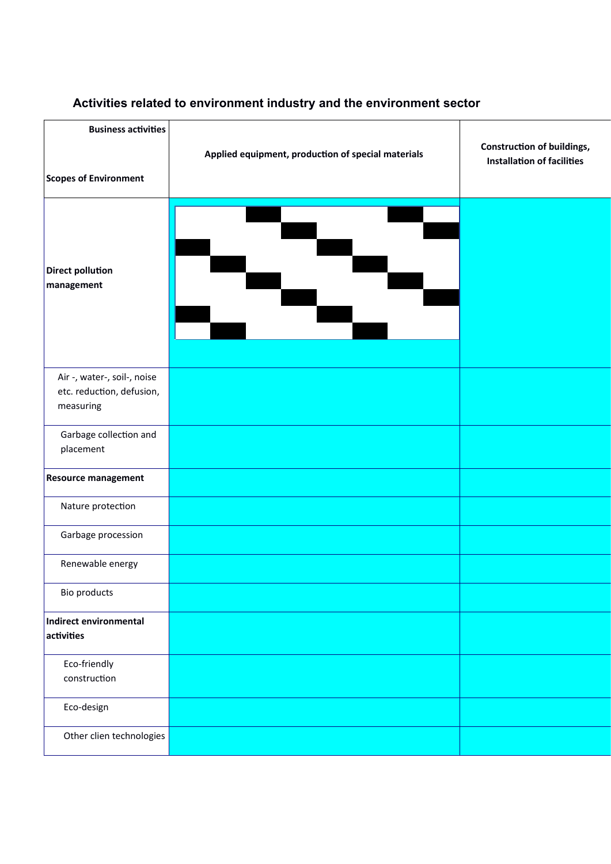# **Business activities Construction of buildings,** Applied equipment, production of special materials **Installation of facilities Scopes of Environment** æ **Direct pollution management** Air -, water-, soil-, noise etc. reduction, defusion, measuring Garbage collection and placement **Resource management** Nature protection Garbage procession Renewable energy Bio products **Indirect environmental** activities Eco-friendly construction Eco-design Other clien technologies

#### **Activities related to environment industry and the environment sector**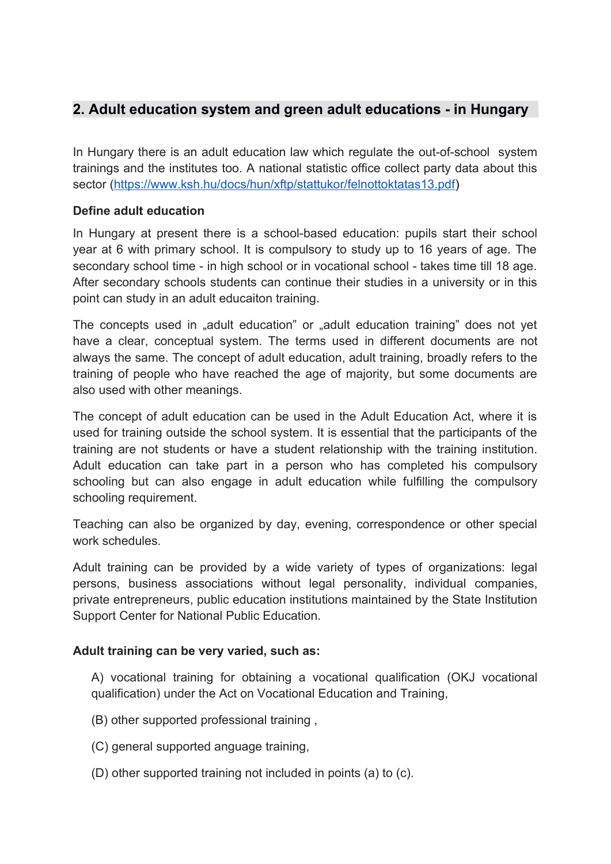## **2. Adult education system and green adult educations - in Hungary**

In Hungary there is an adult education law which regulate the out-of-school system trainings and the institutes too. A national statistic office collect party data about this sector [\(https://www.ksh.hu/docs/hun/xftp/stattukor/felnottoktatas13.pdf\)](https://www.ksh.hu/docs/hun/xftp/stattukor/felnottoktatas13.pdf)

#### **Define adult education**

In Hungary at present there is a school-based education: pupils start their school year at 6 with primary school. It is compulsory to study up to 16 years of age. The secondary school time - in high school or in vocational school - takes time till 18 age. After secondary schools students can continue their studies in a university or in this point can study in an adult educaiton training.

The concepts used in "adult education" or "adult education training" does not yet have a clear, conceptual system. The terms used in different documents are not always the same. The concept of adult education, adult training, broadly refers to the training of people who have reached the age of majority, but some documents are also used with other meanings.

The concept of adult education can be used in the Adult Education Act, where it is used for training outside the school system. It is essential that the participants of the training are not students or have a student relationship with the training institution. Adult education can take part in a person who has completed his compulsory schooling but can also engage in adult education while fulfilling the compulsory schooling requirement.

Teaching can also be organized by day, evening, correspondence or other special work schedules.

Adult training can be provided by a wide variety of types of organizations: legal persons, business associations without legal personality, individual companies, private entrepreneurs, public education institutions maintained by the State Institution Support Center for National Public Education.

#### **Adult training can be very varied, such as:**

A) vocational training for obtaining a vocational qualification (OKJ vocational qualification) under the Act on Vocational Education and Training,

- (B) other supported professional training ,
- (C) general supported anguage training,
- (D) other supported training not included in points (a) to (c).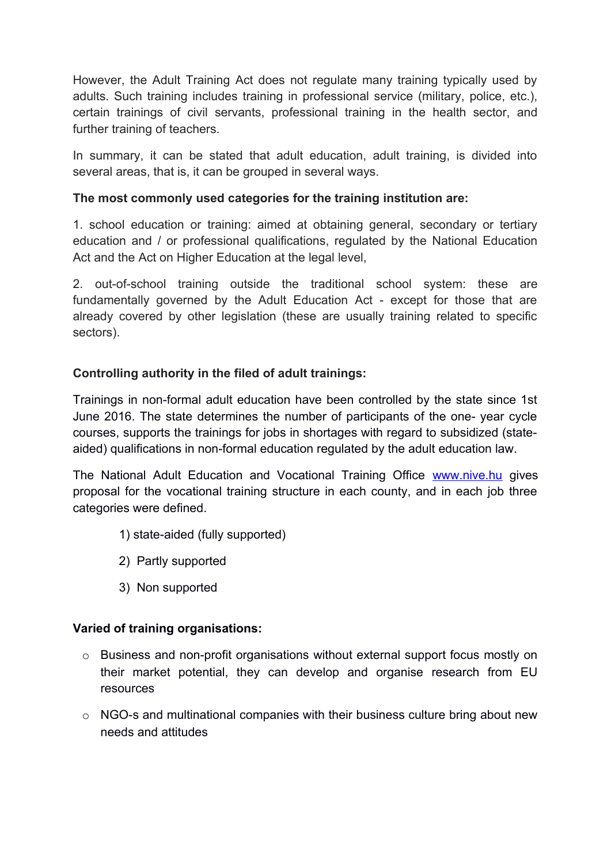However, the Adult Training Act does not regulate many training typically used by adults. Such training includes training in professional service (military, police, etc.), certain trainings of civil servants, professional training in the health sector, and further training of teachers.

In summary, it can be stated that adult education, adult training, is divided into several areas, that is, it can be grouped in several ways.

#### **The most commonly used categories for the training institution are:**

1. school education or training: aimed at obtaining general, secondary or tertiary education and / or professional qualifications, regulated by the National Education Act and the Act on Higher Education at the legal level,

2. out-of-school training outside the traditional school system: these are fundamentally governed by the Adult Education Act - except for those that are already covered by other legislation (these are usually training related to specific sectors).

#### **Controlling authority in the filed of adult trainings:**

Trainings in non-formal adult education have been controlled by the state since 1st June 2016. The state determines the number of participants of the one- year cycle courses, supports the trainings for jobs in shortages with regard to subsidized (stateaided) qualifications in non-formal education regulated by the adult education law.

The National Adult Education and Vocational Training Office [www.nive.hu](http://www.nive.hu/) gives proposal for the vocational training structure in each county, and in each job three categories were defined.

- 1) state-aided (fully supported)
- 2) Partly supported
- 3) Non supported

#### **Varied of training organisations:**

- o Business and non-profit organisations without external support focus mostly on their market potential, they can develop and organise research from EU resources
- o NGO-s and multinational companies with their business culture bring about new needs and attitudes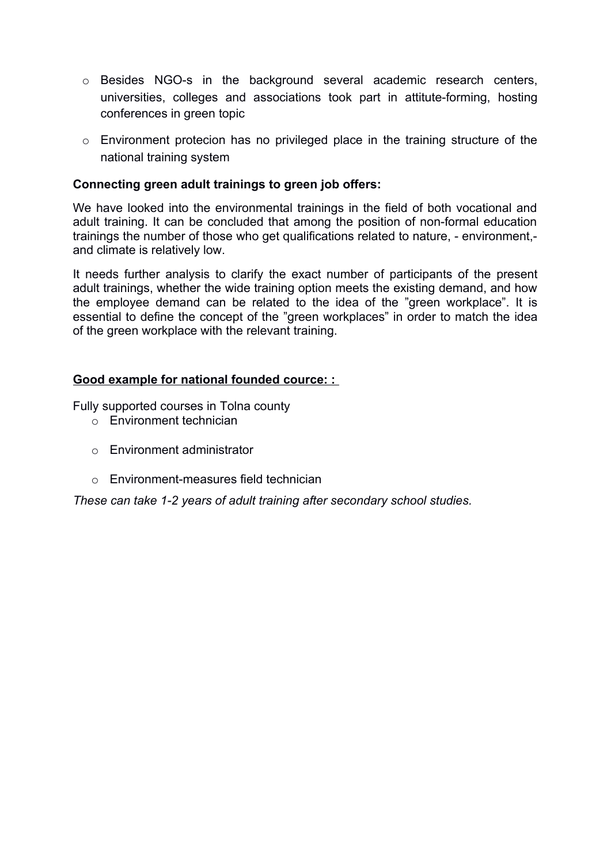- o Besides NGO-s in the background several academic research centers, universities, colleges and associations took part in attitute-forming, hosting conferences in green topic
- o Environment protecion has no privileged place in the training structure of the national training system

#### **Connecting green adult trainings to green job offers:**

We have looked into the environmental trainings in the field of both vocational and adult training. It can be concluded that among the position of non-formal education trainings the number of those who get qualifications related to nature, - environment, and climate is relatively low.

It needs further analysis to clarify the exact number of participants of the present adult trainings, whether the wide training option meets the existing demand, and how the employee demand can be related to the idea of the "green workplace". It is essential to define the concept of the "green workplaces" in order to match the idea of the green workplace with the relevant training.

#### **Good example for national founded cource: :**

Fully supported courses in Tolna county

- o Environment technician
- o Environment administrator
- o Environment-measures field technician

*These can take 1-2 years of adult training after secondary school studies.*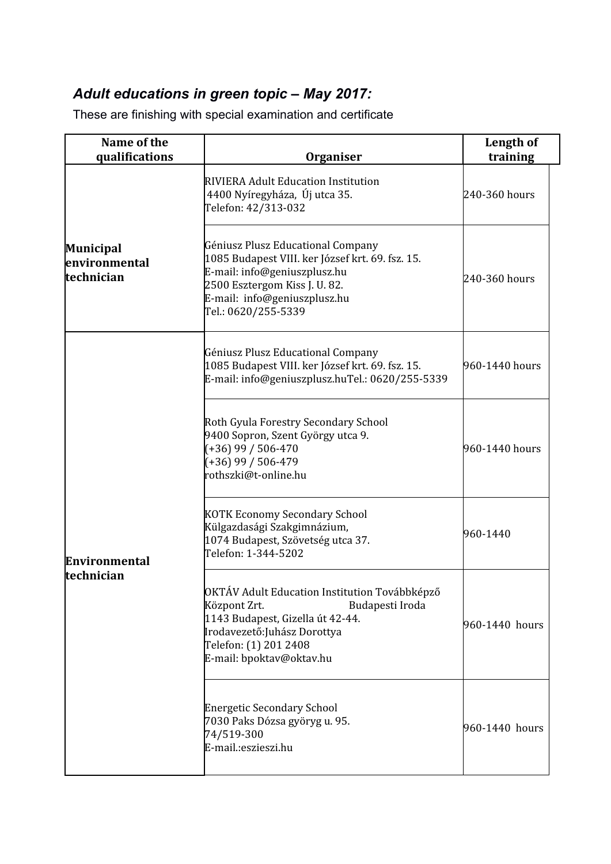# *Adult educations in green topic – May 2017:*

These are finishing with special examination and certificate

| Name of the<br>qualifications                   | <b>Organiser</b>                                                                                                                                                                                              | Length of<br>training |
|-------------------------------------------------|---------------------------------------------------------------------------------------------------------------------------------------------------------------------------------------------------------------|-----------------------|
|                                                 | RIVIERA Adult Education Institution<br>4400 Nyíregyháza, Új utca 35.<br>Telefon: 42/313-032                                                                                                                   | 240-360 hours         |
| <b>Municipal</b><br>environmental<br>technician | Géniusz Plusz Educational Company<br>1085 Budapest VIII. ker József krt. 69. fsz. 15.<br>E-mail: info@geniuszplusz.hu<br>2500 Esztergom Kiss J. U. 82.<br>E-mail: info@geniuszplusz.hu<br>Tel.: 0620/255-5339 | 240-360 hours         |
|                                                 | Géniusz Plusz Educational Company<br>1085 Budapest VIII. ker József krt. 69. fsz. 15.<br>E-mail: info@geniuszplusz.huTel.: 0620/255-5339                                                                      | 960-1440 hours        |
| Environmental<br>technician                     | Roth Gyula Forestry Secondary School<br>9400 Sopron, Szent György utca 9.<br>$(+36)$ 99 / 506-470<br>$(+36)$ 99 / 506-479<br>rothszki@t-online.hu                                                             | 960-1440 hours        |
|                                                 | KOTK Economy Secondary School<br>Külgazdasági Szakgimnázium,<br>1074 Budapest, Szövetség utca 37.<br>Telefon: 1-344-5202                                                                                      | 960-1440              |
|                                                 | OKTÁV Adult Education Institution Továbbképző<br>Központ Zrt.<br>Budapesti Iroda<br>1143 Budapest, Gizella út 42-44.<br>Irodavezető:Juhász Dorottya<br>Telefon: (1) 201 2408<br>E-mail: bpoktav@oktav.hu      | 960-1440 hours        |
|                                                 | <b>Energetic Secondary School</b><br>7030 Paks Dózsa györyg u. 95.<br>74/519-300<br>E-mail.:eszieszi.hu                                                                                                       | 960-1440 hours        |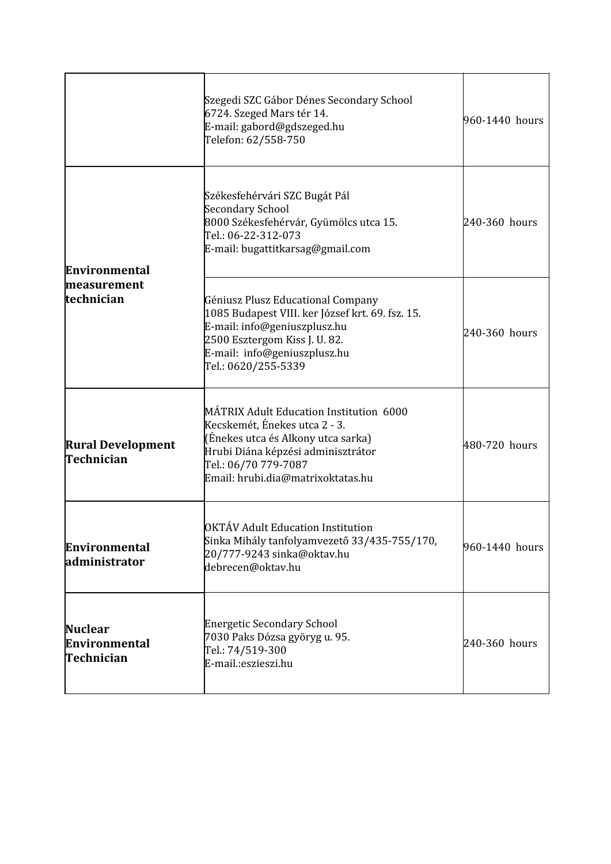|                                                   | Szegedi SZC Gábor Dénes Secondary School<br>6724. Szeged Mars tér 14.<br>E-mail: gabord@gdszeged.hu<br>Telefon: 62/558-750                                                                                        | 960-1440 hours |
|---------------------------------------------------|-------------------------------------------------------------------------------------------------------------------------------------------------------------------------------------------------------------------|----------------|
| <b>Environmental</b><br>measurement<br>technician | Székesfehérvári SZC Bugát Pál<br>Secondary School<br>8000 Székesfehérvár, Gyümölcs utca 15.<br>Tel.: 06-22-312-073<br>E-mail: bugattitkarsag@gmail.com                                                            | 240-360 hours  |
|                                                   | Géniusz Plusz Educational Company<br>1085 Budapest VIII. ker József krt. 69. fsz. 15.<br>E-mail: info@geniuszplusz.hu<br>2500 Esztergom Kiss J. U. 82.<br>E-mail: info@geniuszplusz.hu<br>Tel.: 0620/255-5339     | 240-360 hours  |
| <b>Rural Development</b><br>Technician            | MÁTRIX Adult Education Institution 6000<br>Kecskemét, Énekes utca 2 - 3.<br>(Énekes utca és Alkony utca sarka)<br>Hrubi Diána képzési adminisztrátor<br>Tel.: 06/70 779-7087<br>Email: hrubi.dia@matrixoktatas.hu | 480-720 hours  |
| <b>Environmental</b><br>administrator             | OKTÁV Adult Education Institution<br>Sinka Mihály tanfolyamvezető 33/435-755/170,<br>20/777-9243 sinka@oktav.hu<br>debrecen@oktav.hu                                                                              | 960-1440 hours |
| <b>Nuclear</b><br>Environmental<br>Technician     | <b>Energetic Secondary School</b><br>7030 Paks Dózsa györyg u. 95.<br>Tel.: 74/519-300<br>E-mail.:eszieszi.hu                                                                                                     | 240-360 hours  |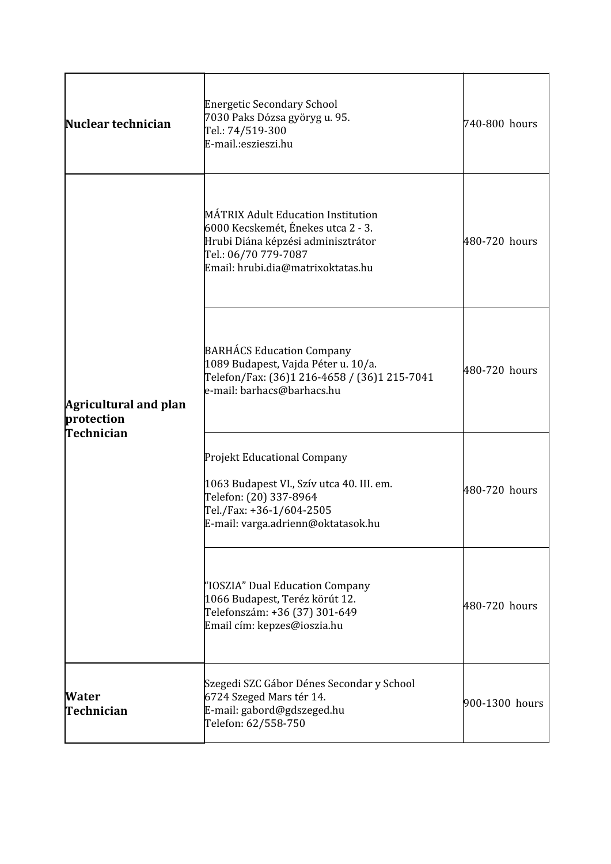| Nuclear technician                                       | Energetic Secondary School<br>7030 Paks Dózsa györyg u. 95.<br>Tel.: 74/519-300<br>E-mail.:eszieszi.hu                                                                      | 740-800 hours  |
|----------------------------------------------------------|-----------------------------------------------------------------------------------------------------------------------------------------------------------------------------|----------------|
| <b>Agricultural and plan</b><br>protection<br>Technician | MÁTRIX Adult Education Institution<br>6000 Kecskemét, Énekes utca 2 - 3.<br>Hrubi Diána képzési adminisztrátor<br>Tel.: 06/70 779-7087<br>Email: hrubi.dia@matrixoktatas.hu | 480-720 hours  |
|                                                          | <b>BARHÁCS Education Company</b><br>1089 Budapest, Vajda Péter u. 10/a.<br>Telefon/Fax: (36)1 216-4658 / (36)1 215-7041<br>e-mail: barhacs@barhacs.hu                       | 480-720 hours  |
|                                                          | Projekt Educational Company<br>1063 Budapest VI., Szív utca 40. III. em.<br>Telefon: (20) 337-8964<br>Tel./Fax: +36-1/604-2505<br>E-mail: varga.adrienn@oktatasok.hu        | 480-720 hours  |
|                                                          | "IOSZIA" Dual Education Company<br>1066 Budapest, Teréz körút 12.<br>Telefonszám: +36 (37) 301-649<br>Email cím: kepzes@ioszia.hu                                           | 480-720 hours  |
| Water<br>Technician                                      | Szegedi SZC Gábor Dénes Secondar y School<br>6724 Szeged Mars tér 14.<br>E-mail: gabord@gdszeged.hu<br>Telefon: 62/558-750                                                  | 900-1300 hours |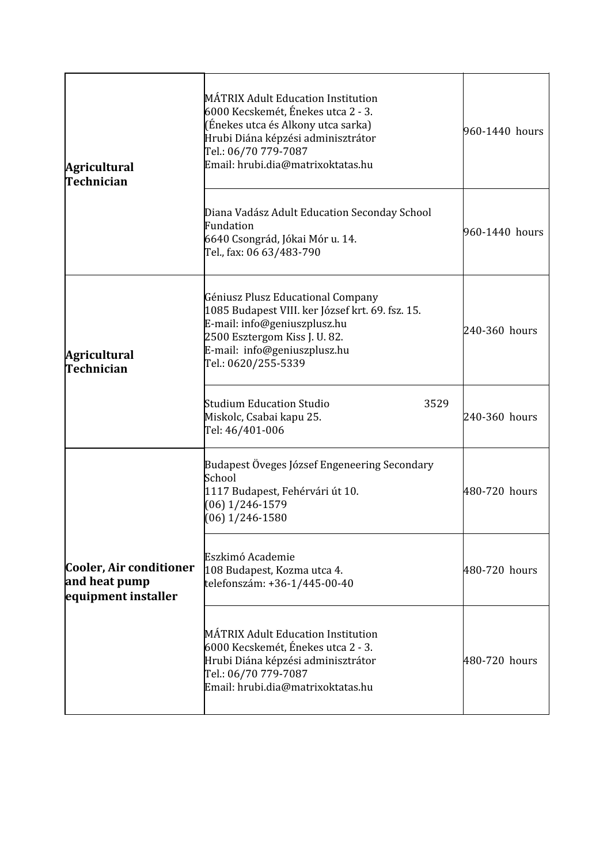| <b>Agricultural</b><br>Technician                               | MÁTRIX Adult Education Institution<br>6000 Kecskemét, Énekes utca 2 - 3.<br>(Énekes utca és Alkony utca sarka)<br>Hrubi Diána képzési adminisztrátor<br>Tel.: 06/70 779-7087<br>Email: hrubi.dia@matrixoktatas.hu | 960-1440 hours |  |
|-----------------------------------------------------------------|-------------------------------------------------------------------------------------------------------------------------------------------------------------------------------------------------------------------|----------------|--|
|                                                                 | Diana Vadász Adult Education Seconday School<br>Fundation<br>6640 Csongrád, Jókai Mór u. 14.<br>Tel., fax: 06 63/483-790                                                                                          | 960-1440 hours |  |
| <b>Agricultural</b><br>Technician                               | Géniusz Plusz Educational Company<br>1085 Budapest VIII. ker József krt. 69. fsz. 15.<br>E-mail: info@geniuszplusz.hu<br>2500 Esztergom Kiss J. U. 82.<br>E-mail: info@geniuszplusz.hu<br>Tel.: 0620/255-5339     | 240-360 hours  |  |
|                                                                 | Studium Education Studio<br>3529<br>Miskolc, Csabai kapu 25.<br>Tel: 46/401-006                                                                                                                                   | 240-360 hours  |  |
|                                                                 | Budapest Öveges József Engeneering Secondary<br>School<br>1117 Budapest, Fehérvári út 10.<br>$(06)$ 1/246-1579<br>$(06)$ 1/246-1580                                                                               | 480-720 hours  |  |
| Cooler, Air conditioner<br>and heat pump<br>equipment installer | Eszkimó Academie<br>108 Budapest, Kozma utca 4.<br>telefonszám: +36-1/445-00-40                                                                                                                                   | 480-720 hours  |  |
|                                                                 | MÁTRIX Adult Education Institution<br>6000 Kecskemét, Énekes utca 2 - 3.<br>Hrubi Diána képzési adminisztrátor<br>Tel.: 06/70 779-7087<br>Email: hrubi.dia@matrixoktatas.hu                                       | 480-720 hours  |  |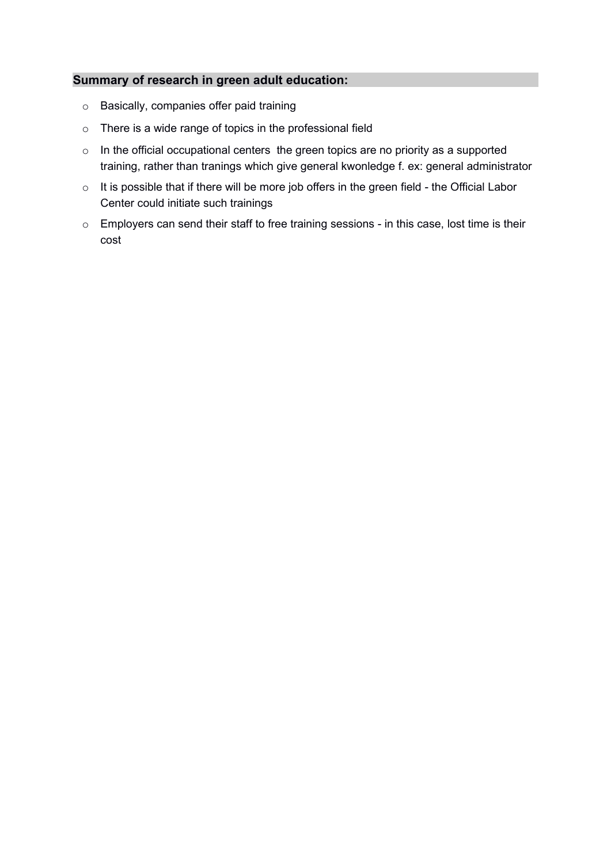#### **Summary of research in green adult education:**

- o Basically, companies offer paid training
- o There is a wide range of topics in the professional field
- o In the official occupational centers the green topics are no priority as a supported training, rather than tranings which give general kwonledge f. ex: general administrator
- o It is possible that if there will be more job offers in the green field the Official Labor Center could initiate such trainings
- o Employers can send their staff to free training sessions in this case, lost time is their cost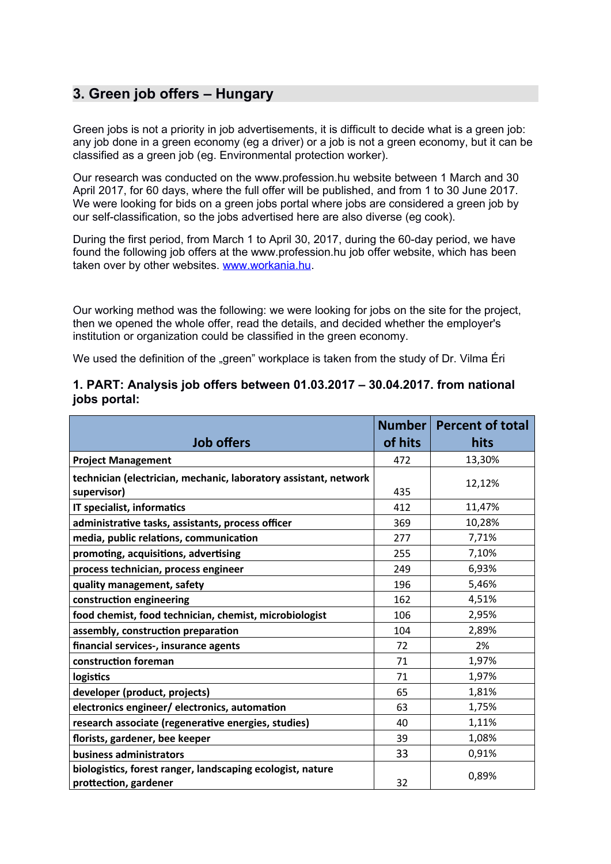### **3. Green job offers – Hungary**

Green jobs is not a priority in job advertisements, it is difficult to decide what is a green job: any job done in a green economy (eg a driver) or a job is not a green economy, but it can be classified as a green job (eg. Environmental protection worker).

Our research was conducted on the www.profession.hu website between 1 March and 30 April 2017, for 60 days, where the full offer will be published, and from 1 to 30 June 2017. We were looking for bids on a green jobs portal where jobs are considered a green job by our self-classification, so the jobs advertised here are also diverse (eg cook).

During the first period, from March 1 to April 30, 2017, during the 60-day period, we have found the following job offers at the www.profession.hu job offer website, which has been taken over by other websites. [www.workania.hu.](http://www.workania.hu/)

Our working method was the following: we were looking for jobs on the site for the project, then we opened the whole offer, read the details, and decided whether the employer's institution or organization could be classified in the green economy.

We used the definition of the "green" workplace is taken from the study of Dr. Vilma Eri

#### **1. PART: Analysis job offers between 01.03.2017 – 30.04.2017. from national jobs portal:**

|                                                                                     | Number  | <b>Percent of total</b> |
|-------------------------------------------------------------------------------------|---------|-------------------------|
| <b>Job offers</b>                                                                   | of hits | hits                    |
| <b>Project Management</b>                                                           | 472     | 13,30%                  |
| technician (electrician, mechanic, laboratory assistant, network                    |         | 12,12%                  |
| supervisor)                                                                         | 435     |                         |
| IT specialist, informatics                                                          | 412     | 11,47%                  |
| administrative tasks, assistants, process officer                                   | 369     | 10,28%                  |
| media, public relations, communication                                              | 277     | 7,71%                   |
| promoting, acquisitions, advertising                                                | 255     | 7,10%                   |
| process technician, process engineer                                                | 249     | 6,93%                   |
| quality management, safety                                                          | 196     | 5,46%                   |
| construction engineering                                                            | 162     | 4,51%                   |
| food chemist, food technician, chemist, microbiologist                              | 106     | 2,95%                   |
| assembly, construction preparation                                                  | 104     | 2,89%                   |
| financial services-, insurance agents                                               | 72      | 2%                      |
| construction foreman                                                                | 71      | 1,97%                   |
| logistics                                                                           | 71      | 1,97%                   |
| developer (product, projects)                                                       | 65      | 1,81%                   |
| electronics engineer/ electronics, automation                                       | 63      | 1,75%                   |
| research associate (regenerative energies, studies)                                 | 40      | 1,11%                   |
| florists, gardener, bee keeper                                                      | 39      | 1,08%                   |
| business administrators                                                             | 33      | 0,91%                   |
| biologistics, forest ranger, landscaping ecologist, nature<br>prottection, gardener | 32      | 0,89%                   |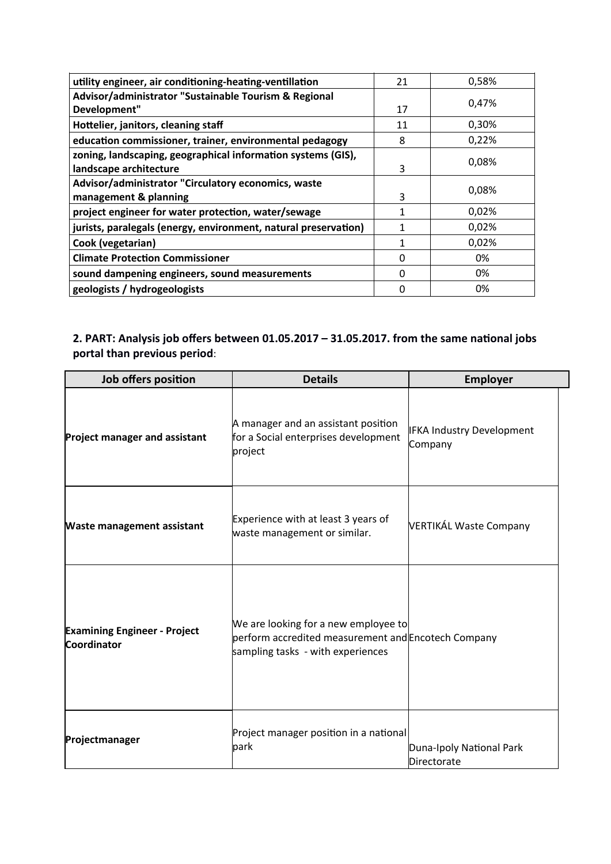| utility engineer, air conditioning-heating-ventillation         | 21 | 0,58% |
|-----------------------------------------------------------------|----|-------|
| Advisor/administrator "Sustainable Tourism & Regional           |    | 0,47% |
| Development"                                                    | 17 |       |
| Hottelier, janitors, cleaning staff                             | 11 | 0,30% |
| education commissioner, trainer, environmental pedagogy         | 8  | 0,22% |
| zoning, landscaping, geographical information systems (GIS),    |    | 0,08% |
| landscape architecture                                          | 3  |       |
| Advisor/administrator "Circulatory economics, waste             |    | 0,08% |
| management & planning                                           | 3  |       |
| project engineer for water protection, water/sewage             |    | 0,02% |
| jurists, paralegals (energy, environment, natural preservation) |    | 0,02% |
| Cook (vegetarian)                                               |    | 0,02% |
| <b>Climate Protection Commissioner</b>                          | 0  | 0%    |
| sound dampening engineers, sound measurements                   | ი  | 0%    |
| geologists / hydrogeologists                                    | O  | 0%    |

### **2. PART: Analysis job ofers between 01.05.2017 – 31.05.2017. from the same natonal jobs** portal than previous period:

| Job offers position                                | <b>Details</b>                                                                                                                   | <b>Employer</b>                         |
|----------------------------------------------------|----------------------------------------------------------------------------------------------------------------------------------|-----------------------------------------|
| Project manager and assistant                      | A manager and an assistant position<br>for a Social enterprises development<br>project                                           | IFKA Industry Development<br>Company    |
| <b>Waste management assistant</b>                  | Experience with at least 3 years of<br>waste management or similar.                                                              | VERTIKÁL Waste Company                  |
| <b>Examining Engineer - Project</b><br>Coordinator | We are looking for a new employee to<br>perform accredited measurement and Encotech Company<br>sampling tasks - with experiences |                                         |
| Projectmanager                                     | Project manager position in a national<br>park                                                                                   | Duna-Ipoly National Park<br>Directorate |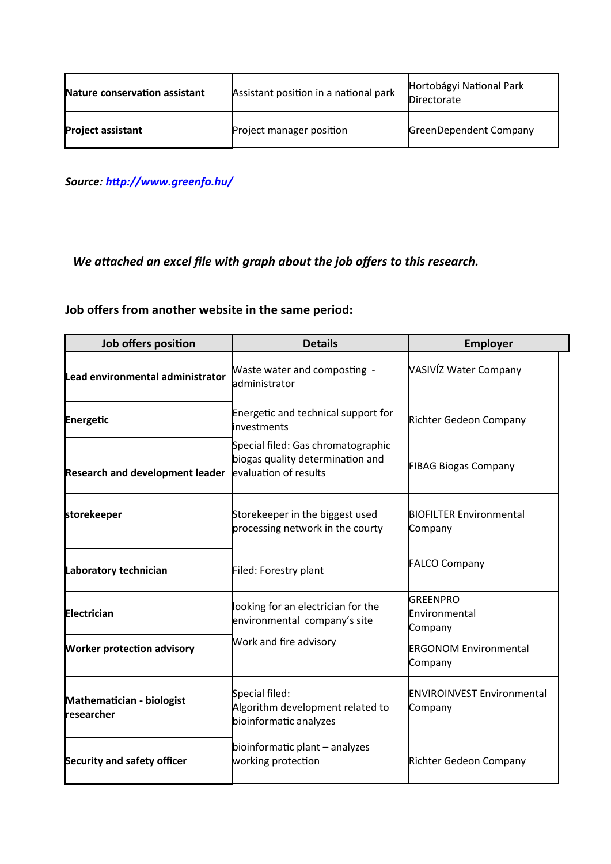| Nature conservation assistant | Assistant position in a national park | Hortobágyi National Park<br>Directorate |
|-------------------------------|---------------------------------------|-----------------------------------------|
| <b>Project assistant</b>      | Project manager position              | GreenDependent Company                  |

*Source:* http://www.greenfo.hu/

# *We attached an excel file with graph about the job offers to this research.*

## **Job ofers from another website in the same period:**

| Job offers position                     | <b>Details</b>                                                                                  | <b>Employer</b>                              |
|-----------------------------------------|-------------------------------------------------------------------------------------------------|----------------------------------------------|
| Lead environmental administrator        | Maste water and composting -<br>ladministrator                                                  | VASIVÍZ Water Company                        |
| Energetic                               | Energetic and technical support for<br>linvestments                                             | Richter Gedeon Company                       |
| <b>Research and development leader</b>  | Special filed: Gas chromatographic<br>biogas quality determination and<br>evaluation of results | <b>FIBAG Biogas Company</b>                  |
| storekeeper                             | Storekeeper in the biggest used<br>processing network in the courty                             | <b>BIOFILTER Environmental</b><br>Company    |
| Laboratory technician                   | Filed: Forestry plant                                                                           | <b>FALCO Company</b>                         |
| Electrician                             | looking for an electrician for the<br>environmental company's site                              | <b>GREENPRO</b><br>Environmental<br>Company  |
| <b>Worker protection advisory</b>       | Work and fire advisory                                                                          | <b>ERGONOM Environmental</b><br>Company      |
| Mathematician - biologist<br>researcher | Special filed:<br>Algorithm development related to<br>bioinformatic analyzes                    | <b>ENVIROINVEST Environmental</b><br>Company |
| Security and safety officer             | bioinformatic plant - analyzes<br>working protection                                            | Richter Gedeon Company                       |